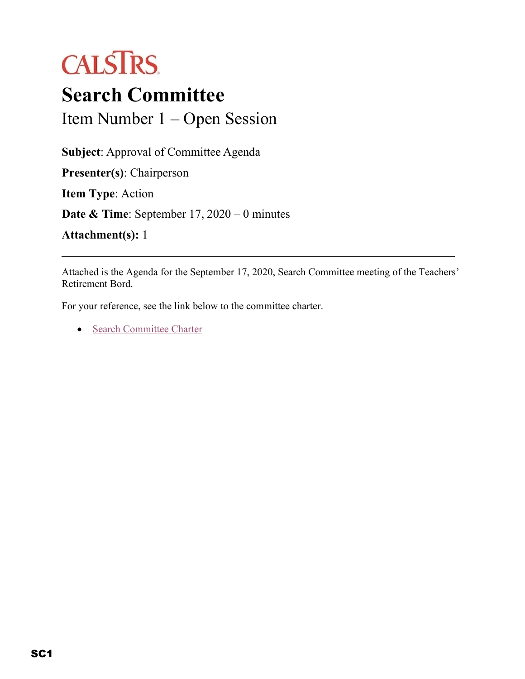

## **Search Committee** Item Number 1 – Open Session

**Subject**: Approval of Committee Agenda **Presenter(s)**: Chairperson **Item Type**: Action **Date & Time**: September 17, 2020 – 0 minutes

**Attachment(s):** 1

Attached is the Agenda for the September 17, 2020, Search Committee meeting of the Teachers' Retirement Bord.

For your reference, see the link below to the committee charter.

• [Search Committee Charter](https://trb.calstrs.com/CalSTRSBoardWebSiteWebUI/Page/CommonPage.aspx?PageName=DocumentDownload&Id=df65d2ef-d8c7-4c26-a2a2-e8d555e949e5)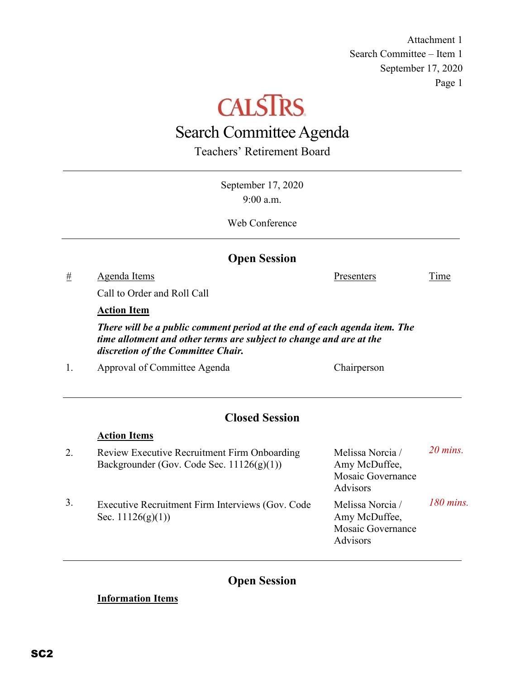Attachment 1 Search Committee – Item 1 September 17, 2020 Page 1

# **CALSTRS**

### Search Committee Agenda

Teachers' Retirement Board

September 17, 2020 9:00 a.m. Web Conference **Open Session** # Agenda Items Presenters Time Call to Order and Roll Call **Action Item** *There will be a public comment period at the end of each agenda item. The time allotment and other terms are subject to change and are at the discretion of the Committee Chair.* 1. Approval of Committee Agenda Chairperson **Closed Session Action Items** 2. Review Executive Recruitment Firm Onboarding Backgrounder (Gov. Code Sec. 11126(g)(1)) Melissa Norcia / Amy McDuffee, Mosaic Governance Advisors *20 mins.* 3. Executive Recruitment Firm Interviews (Gov. Code Sec. 11126(g)(1)) Melissa Norcia / Amy McDuffee, Mosaic Governance Advisors *180 mins.*

**Open Session**

#### **Information Items**